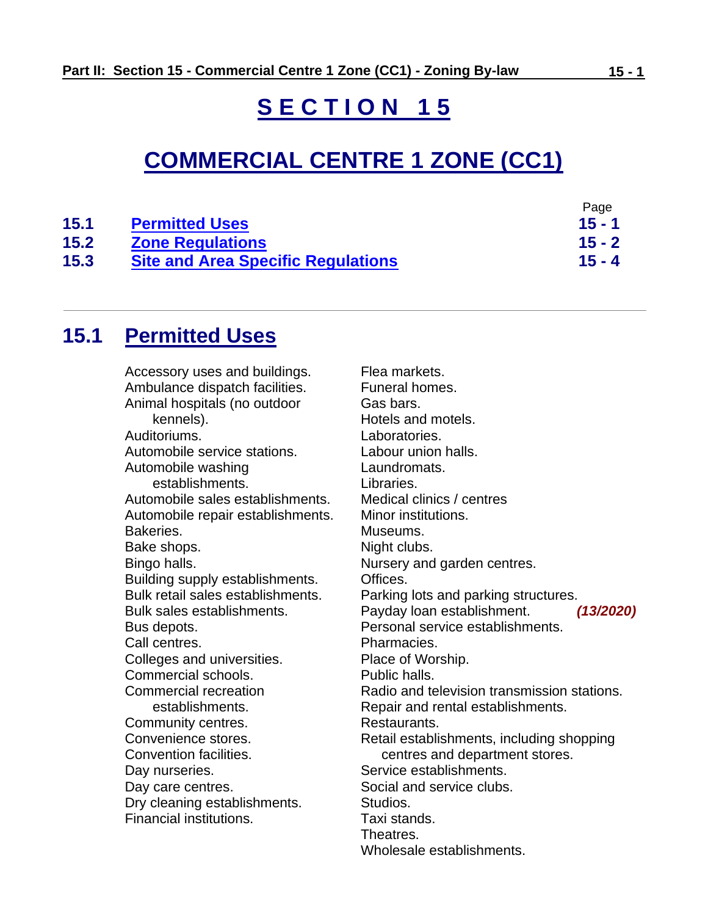# **S E C T I O N 1 5**

# **COMMERCIAL CENTRE 1 ZONE (CC1)**

|      |                                           | Page     |
|------|-------------------------------------------|----------|
| 15.1 | <b>Permitted Uses</b>                     | $15 - 1$ |
| 15.2 | <b>Zone Regulations</b>                   | $15 - 2$ |
| 15.3 | <b>Site and Area Specific Regulations</b> | $15 - 4$ |

# <span id="page-0-0"></span>**15.1 Permitted Uses**

Accessory uses and buildings. Ambulance dispatch facilities. Animal hospitals (no outdoor kennels). Auditoriums. Automobile service stations. Automobile washing establishments. Automobile sales establishments. Automobile repair establishments. Bakeries. Bake shops. Bingo halls. Building supply establishments. Bulk retail sales establishments. Bulk sales establishments. Bus depots. Call centres. Colleges and universities. Commercial schools. Commercial recreation establishments. Community centres. Convenience stores. Convention facilities. Day nurseries. Day care centres. Dry cleaning establishments. Financial institutions.

Flea markets. Funeral homes. Gas bars. Hotels and motels. Laboratories. Labour union halls. Laundromats. Libraries. Medical clinics / centres Minor institutions. Museums. Night clubs. Nursery and garden centres. Offices. Parking lots and parking structures. Payday loan establishment. *(13/2020)* Personal service establishments. Pharmacies. Place of Worship. Public halls. Radio and television transmission stations. Repair and rental establishments. Restaurants. Retail establishments, including shopping centres and department stores. Service establishments. Social and service clubs. Studios. Taxi stands. Theatres. Wholesale establishments.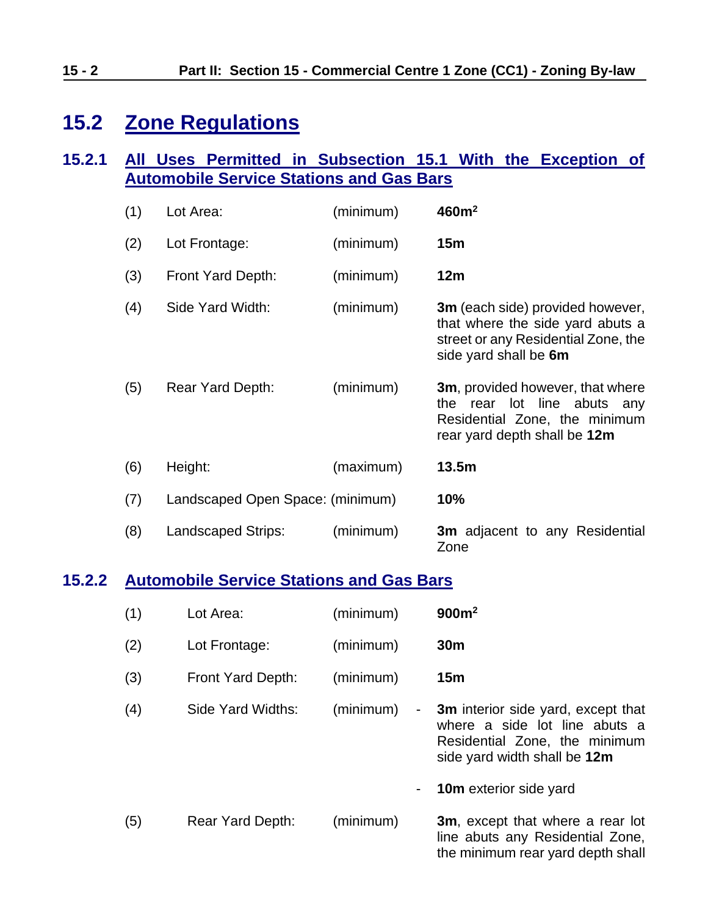# <span id="page-1-0"></span>**15.2 Zone Regulations**

### **15.2.1 All Uses Permitted in Subsection 15.1 With the Exception of Automobile Service Stations and Gas Bars**

| (1) | Lot Area:                        | (minimum) | 460m <sup>2</sup>                                                                                                                        |
|-----|----------------------------------|-----------|------------------------------------------------------------------------------------------------------------------------------------------|
| (2) | Lot Frontage:                    | (minimum) | 15m                                                                                                                                      |
| (3) | Front Yard Depth:                | (minimum) | 12m                                                                                                                                      |
| (4) | Side Yard Width:                 | (minimum) | 3m (each side) provided however,<br>that where the side yard abuts a<br>street or any Residential Zone, the<br>side yard shall be 6m     |
| (5) | Rear Yard Depth:                 | (minimum) | <b>3m</b> , provided however, that where<br>the rear lot line abuts any<br>Residential Zone, the minimum<br>rear yard depth shall be 12m |
| (6) | Height:                          | (maximum) | 13.5m                                                                                                                                    |
| (7) | Landscaped Open Space: (minimum) |           | 10%                                                                                                                                      |
| (8) | Landscaped Strips:               | (minimum) | <b>3m</b> adjacent to any Residential<br>Zone                                                                                            |

### **15.2.2 Automobile Service Stations and Gas Bars**

| (1) | Lot Area:         | (minimum)           | 900m <sup>2</sup>                                                                                                                           |
|-----|-------------------|---------------------|---------------------------------------------------------------------------------------------------------------------------------------------|
| (2) | Lot Frontage:     | (minimum)           | 30 <sub>m</sub>                                                                                                                             |
| (3) | Front Yard Depth: | (minimum)           | 15m                                                                                                                                         |
| (4) | Side Yard Widths: | (minimum)<br>$\sim$ | <b>3m</b> interior side yard, except that<br>where a side lot line abuts a<br>Residential Zone, the minimum<br>side yard width shall be 12m |
|     |                   |                     | <b>10m</b> exterior side yard                                                                                                               |
| (5) | Rear Yard Depth:  | (minimum)           | <b>3m</b> , except that where a rear lot<br>line abuts any Residential Zone,<br>the minimum rear yard depth shall                           |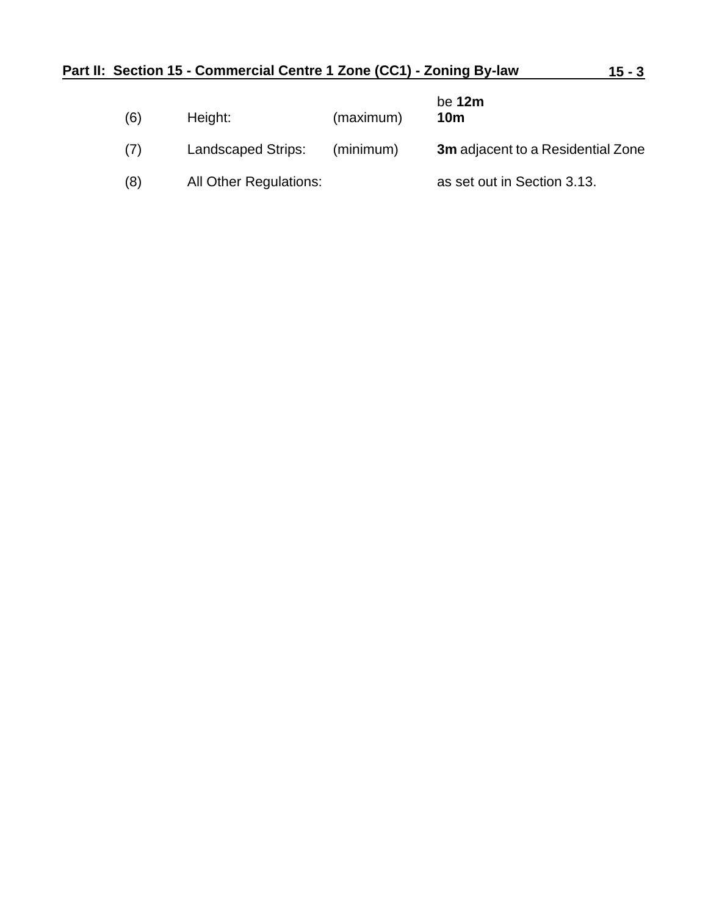| (6) | Height:                   | (maximum) | be $12m$<br>10 <sub>m</sub>              |
|-----|---------------------------|-----------|------------------------------------------|
| (7) | <b>Landscaped Strips:</b> | (minimum) | <b>3m</b> adjacent to a Residential Zone |
| (8) | All Other Regulations:    |           | as set out in Section 3.13.              |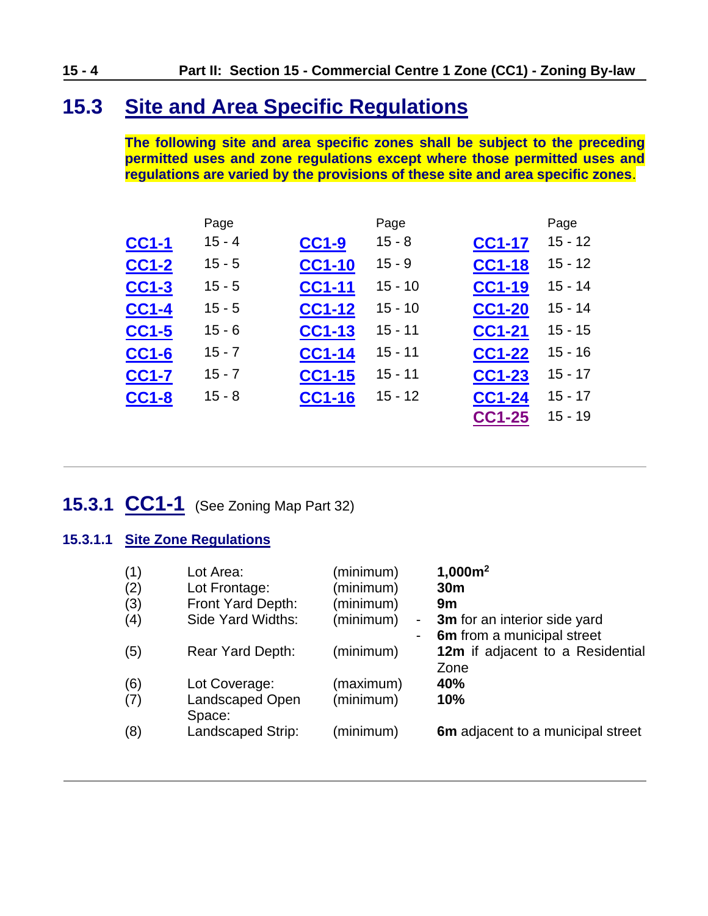## <span id="page-3-0"></span>**15.3 Site and Area Specific Regulations**

**The following site and area specific zones shall be subject to the preceding permitted uses and zone regulations except where those permitted uses and regulations are varied by the provisions of these site and area specific zones**.

|              | Page     |               | Page      |               | Page      |
|--------------|----------|---------------|-----------|---------------|-----------|
| <b>CC1-1</b> | $15 - 4$ | <b>CC1-9</b>  | $15 - 8$  | <b>CC1-17</b> | $15 - 12$ |
| <b>CC1-2</b> | $15 - 5$ | <b>CC1-10</b> | $15 - 9$  | <b>CC1-18</b> | $15 - 12$ |
| <b>CC1-3</b> | $15 - 5$ | <b>CC1-11</b> | $15 - 10$ | <b>CC1-19</b> | $15 - 14$ |
| <b>CC1-4</b> | $15 - 5$ | <b>CC1-12</b> | $15 - 10$ | <b>CC1-20</b> | $15 - 14$ |
| <b>CC1-5</b> | $15 - 6$ | <b>CC1-13</b> | $15 - 11$ | <b>CC1-21</b> | $15 - 15$ |
| <b>CC1-6</b> | $15 - 7$ | <b>CC1-14</b> | $15 - 11$ | <b>CC1-22</b> | $15 - 16$ |
| <b>CC1-7</b> | $15 - 7$ | <b>CC1-15</b> | $15 - 11$ | <b>CC1-23</b> | $15 - 17$ |
| CC1-8        | $15 - 8$ | <b>CC1-16</b> | $15 - 12$ | CC1-24        | $15 - 17$ |
|              |          |               |           | <b>CC1-25</b> | $15 - 19$ |

# <span id="page-3-1"></span>**15.3.1 CC1-1** (See Zoning Map Part 32)

#### **15.3.1.1 Site Zone Regulations**

| (1) | Lot Area:              | (minimum)                   | 1,000m <sup>2</sup>               |
|-----|------------------------|-----------------------------|-----------------------------------|
| (2) | Lot Frontage:          | (minimum)                   | 30 <sub>m</sub>                   |
| (3) | Front Yard Depth:      | (minimum)                   | 9m                                |
| (4) | Side Yard Widths:      | (minimum)<br>$\blacksquare$ | 3m for an interior side yard      |
|     |                        |                             | 6m from a municipal street        |
| (5) | Rear Yard Depth:       | (minimum)                   | 12m if adjacent to a Residential  |
|     |                        |                             | Zone                              |
| (6) | Lot Coverage:          | (maximum)                   | 40%                               |
| (7) | <b>Landscaped Open</b> | (minimum)                   | 10%                               |
|     | Space:                 |                             |                                   |
| (8) | Landscaped Strip:      | (minimum)                   | 6m adjacent to a municipal street |
|     |                        |                             |                                   |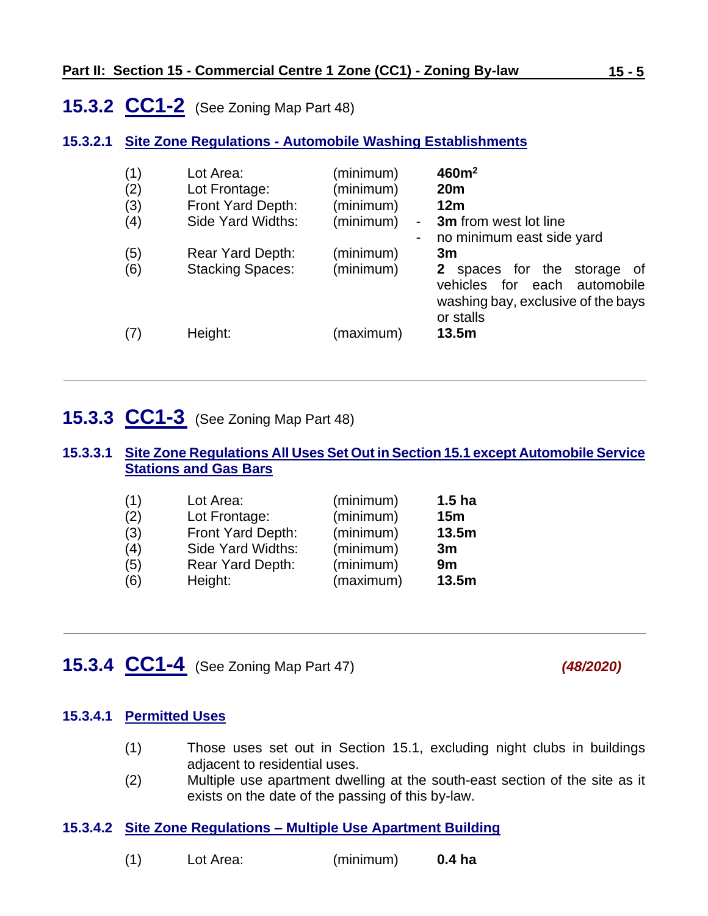## <span id="page-4-0"></span>**15.3.2 CC1-2** (See Zoning Map Part 48)

#### **15.3.2.1 Site Zone Regulations - Automobile Washing Establishments**

| (1)<br>(2)<br>(3)<br>(4) | Lot Area:<br>Lot Frontage:<br>Front Yard Depth:<br>Side Yard Widths: | (minimum)<br>(minimum)<br>(minimum)<br>(minimum)<br>$\blacksquare$ | 460m <sup>2</sup><br>20 <sub>m</sub><br>12m<br><b>3m</b> from west lot line<br>no minimum east side yard                                            |
|--------------------------|----------------------------------------------------------------------|--------------------------------------------------------------------|-----------------------------------------------------------------------------------------------------------------------------------------------------|
| (5)<br>(6)               | <b>Rear Yard Depth:</b><br><b>Stacking Spaces:</b>                   | (minimum)<br>(minimum)                                             | 3m<br>spaces for the<br>$\mathbf{2}^-$<br>storage<br>of<br>for<br>each<br>vehicles<br>automobile<br>washing bay, exclusive of the bays<br>or stalls |
| (7)                      | Height:                                                              | (maximum)                                                          | 13.5m                                                                                                                                               |

### <span id="page-4-1"></span>**15.3.3 CC1-3** (See Zoning Map Part 48)

#### **15.3.3.1 Site Zone Regulations All Uses Set Out in Section 15.1 except Automobile Service Stations and Gas Bars**

| (1) | Lot Area:         | (minimum) | 1.5 <sub>ha</sub> |
|-----|-------------------|-----------|-------------------|
| (2) | Lot Frontage:     | (minimum) | 15m               |
| (3) | Front Yard Depth: | (minimum) | 13.5m             |
| (4) | Side Yard Widths: | (minimum) | 3m                |
| (5) | Rear Yard Depth:  | (minimum) | 9m                |
| (6) | Height:           | (maximum) | 13.5m             |

### <span id="page-4-2"></span>**15.3.4 CC1-4** (See Zoning Map Part 47) *(48/2020)*

#### **15.3.4.1 Permitted Uses**

- (1) Those uses set out in Section 15.1, excluding night clubs in buildings adjacent to residential uses.
- (2) Multiple use apartment dwelling at the south-east section of the site as it exists on the date of the passing of this by-law.

#### **15.3.4.2 Site Zone Regulations – Multiple Use Apartment Building**

| (1) | Lot Area: | (minimum) | 0.4 <sub>ha</sub> |
|-----|-----------|-----------|-------------------|
|-----|-----------|-----------|-------------------|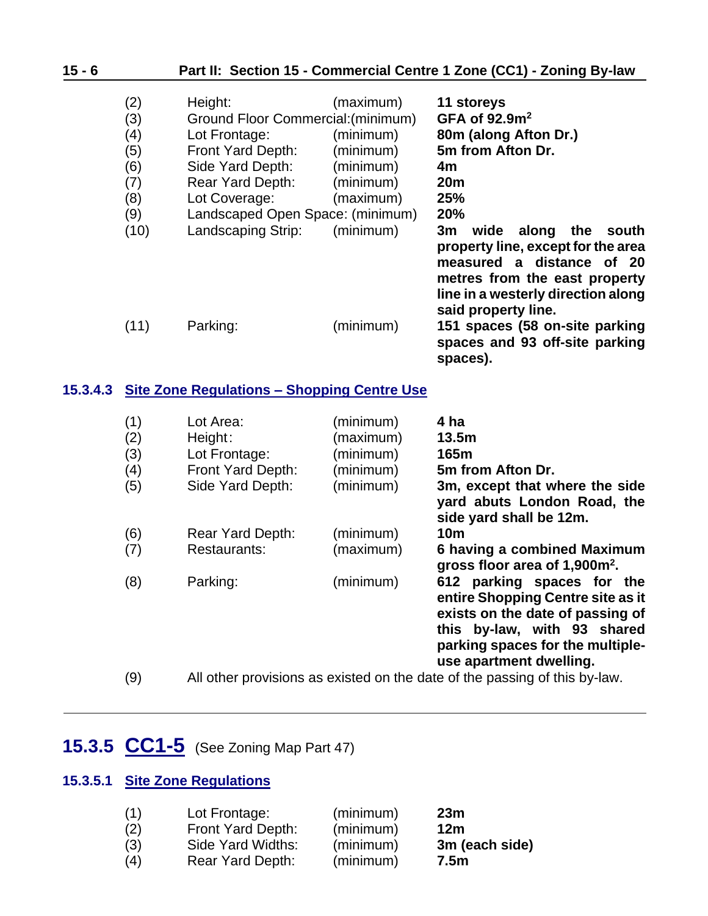| $15 - 6$ | Part II: Section 15 - Commercial Centre 1 Zone (CC1) - Zoning By-law |                                                                                                                                                                                  |                                                                            |                                                                                                                                                                                                                                                                                      |
|----------|----------------------------------------------------------------------|----------------------------------------------------------------------------------------------------------------------------------------------------------------------------------|----------------------------------------------------------------------------|--------------------------------------------------------------------------------------------------------------------------------------------------------------------------------------------------------------------------------------------------------------------------------------|
|          | (2)<br>(3)<br>(4)<br>(5)<br>(6)<br>(7)<br>(8)<br>(9)                 | Height:<br>Ground Floor Commercial: (minimum)<br>Lot Frontage:<br>Front Yard Depth:<br>Side Yard Depth:<br>Rear Yard Depth:<br>Lot Coverage:<br>Landscaped Open Space: (minimum) | (maximum)<br>(minimum)<br>(minimum)<br>(minimum)<br>(minimum)<br>(maximum) | 11 storeys<br>GFA of $92.9m2$<br>80m (along Afton Dr.)<br>5m from Afton Dr.<br>4m<br>20 <sub>m</sub><br>25%<br>20%                                                                                                                                                                   |
|          | (10)<br>(11)                                                         | Landscaping Strip:<br>Parking:                                                                                                                                                   | (minimum)<br>(minimum)                                                     | 3m<br>wide<br>along<br>the<br>south<br>property line, except for the area<br>measured a distance of 20<br>metres from the east property<br>line in a westerly direction along<br>said property line.<br>151 spaces (58 on-site parking<br>spaces and 93 off-site parking<br>spaces). |
| 15.3.4.3 |                                                                      | <b>Site Zone Regulations - Shopping Centre Use</b>                                                                                                                               |                                                                            |                                                                                                                                                                                                                                                                                      |
|          | (1)<br>(2)<br>(3)<br>(4)<br>(5)                                      | Lot Area:<br>Height:<br>Lot Frontage:<br>Front Yard Depth:<br>Side Yard Depth:                                                                                                   | (minimum)<br>(maximum)<br>(minimum)<br>(minimum)<br>(minimum)              | 4 ha<br>13.5m<br>165m<br>5m from Afton Dr.<br>3m, except that where the side<br>yard abuts London Road, the<br>side yard shall be 12m.                                                                                                                                               |
|          | (6)<br>(7)                                                           | <b>Rear Yard Depth:</b><br>Restaurants:                                                                                                                                          | (minimum)<br>(maximum)                                                     | <b>10m</b><br>6 having a combined Maximum                                                                                                                                                                                                                                            |

- **gross floor area of 1,900m<sup>2</sup> .** (8) Parking: (minimum) **612 parking spaces for the entire Shopping Centre site as it exists on the date of passing of this by-law, with 93 shared**
- **use apartment dwelling.** (9) All other provisions as existed on the date of the passing of this by-law.

**parking spaces for the multiple-**

# <span id="page-5-0"></span>**15.3.5 CC1-5** (See Zoning Map Part 47)

### **15.3.5.1 Site Zone Regulations**

| (1) | Lot Frontage:     | (minimum) | 23m             |
|-----|-------------------|-----------|-----------------|
| (2) | Front Yard Depth: | (minimum) | 12 <sub>m</sub> |
| (3) | Side Yard Widths: | (minimum) | 3m (each side)  |
| (4) | Rear Yard Depth:  | (minimum) | 7.5m            |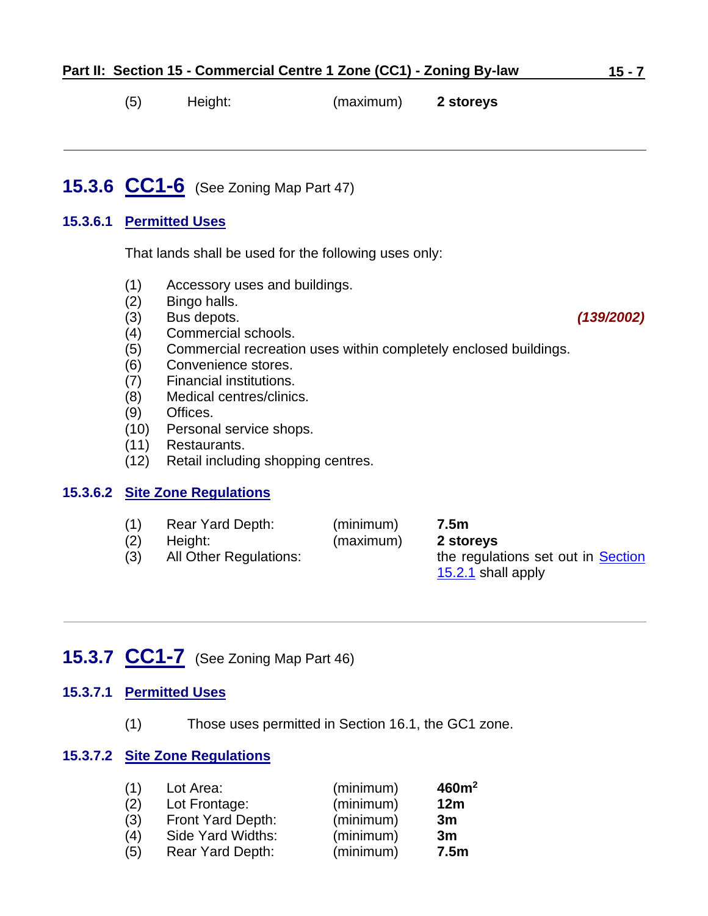(5) Height: (maximum) **2 storeys**

# <span id="page-6-0"></span>**15.3.6 CC1-6** (See Zoning Map Part 47)

#### **15.3.6.1 Permitted Uses**

That lands shall be used for the following uses only:

- (1) Accessory uses and buildings.
- (2) Bingo halls.
- (3) Bus depots. *(139/2002)*
- (4) Commercial schools.
- (5) Commercial recreation uses within completely enclosed buildings.
- (6) Convenience stores.
- (7) Financial institutions.
- (8) Medical centres/clinics.
- (9) Offices.
- (10) Personal service shops.
- (11) Restaurants.
- (12) Retail including shopping centres.

#### **15.3.6.2 Site Zone Regulations**

| (1) | Rear Yard Depth:       | (minimum) | 7.5m                               |
|-----|------------------------|-----------|------------------------------------|
| (2) | Height:                | (maximum) | 2 storeys                          |
| (3) | All Other Regulations: |           | the regulations set out in Section |
|     |                        |           | $15.2.1$ shall apply               |

### <span id="page-6-1"></span>**15.3.7 CC1-7** (See Zoning Map Part 46)

#### **15.3.7.1 Permitted Uses**

(1) Those uses permitted in Section 16.1, the GC1 zone.

#### **15.3.7.2 Site Zone Regulations**

| (1) | Lot Area:                | (minimum) | 460m <sup>2</sup> |
|-----|--------------------------|-----------|-------------------|
| (2) | Lot Frontage:            | (minimum) | 12m               |
| (3) | <b>Front Yard Depth:</b> | (minimum) | 3m                |
| (4) | Side Yard Widths:        | (minimum) | 3m                |
| (5) | Rear Yard Depth:         | (minimum) | 7.5 <sub>m</sub>  |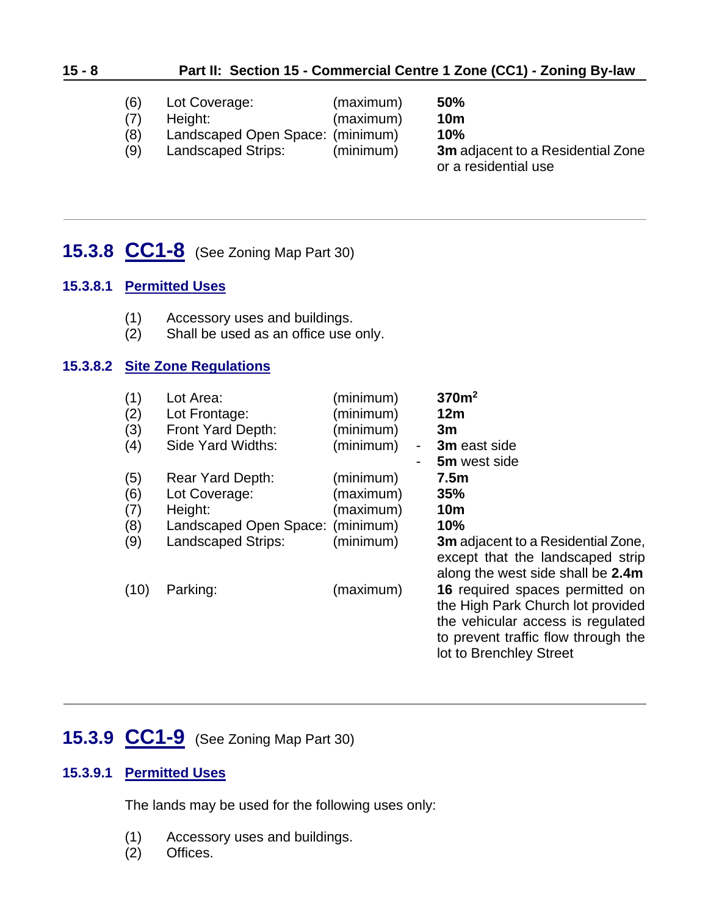### **15 - 8 Part II: Section 15 - Commercial Centre 1 Zone (CC1) - Zoning By-law**

- (6) Lot Coverage: (maximum) **50%**
- (7) Height: (maximum) **10m**
	-

or a residential use

(8) Landscaped Open Space: (minimum) **10%** (9) Landscaped Strips: (minimum) **3m** adjacent to a Residential Zone

### <span id="page-7-1"></span>**15.3.8 CC1-8** (See Zoning Map Part 30)

#### **15.3.8.1 Permitted Uses**

- (1) Accessory uses and buildings.
- (2) Shall be used as an office use only.

#### **15.3.8.2 Site Zone Regulations**

| (1)  | Lot Area:              | (minimum) |   | 370m <sup>2</sup>                                                                                                                                                           |
|------|------------------------|-----------|---|-----------------------------------------------------------------------------------------------------------------------------------------------------------------------------|
| (2)  | Lot Frontage:          | (minimum) |   | 12m                                                                                                                                                                         |
| (3)  | Front Yard Depth:      | (minimum) |   | 3m                                                                                                                                                                          |
| (4)  | Side Yard Widths:      | (minimum) | - | 3m east side                                                                                                                                                                |
|      |                        |           |   | 5m west side                                                                                                                                                                |
| (5)  | Rear Yard Depth:       | (minimum) |   | 7.5 <sub>m</sub>                                                                                                                                                            |
| (6)  | Lot Coverage:          | (maximum) |   | 35%                                                                                                                                                                         |
| (7)  | Height:                | (maximum) |   | <b>10m</b>                                                                                                                                                                  |
| (8)  | Landscaped Open Space: | (minimum) |   | 10%                                                                                                                                                                         |
| (9)  | Landscaped Strips:     | (minimum) |   | <b>3m</b> adjacent to a Residential Zone,<br>except that the landscaped strip<br>along the west side shall be 2.4m                                                          |
| (10) | Parking:               | (maximum) |   | 16 required spaces permitted on<br>the High Park Church lot provided<br>the vehicular access is regulated<br>to prevent traffic flow through the<br>lot to Brenchley Street |

### <span id="page-7-0"></span>**15.3.9 CC1-9** (See Zoning Map Part 30)

#### **15.3.9.1 Permitted Uses**

The lands may be used for the following uses only:

- (1) Accessory uses and buildings.
- (2) Offices.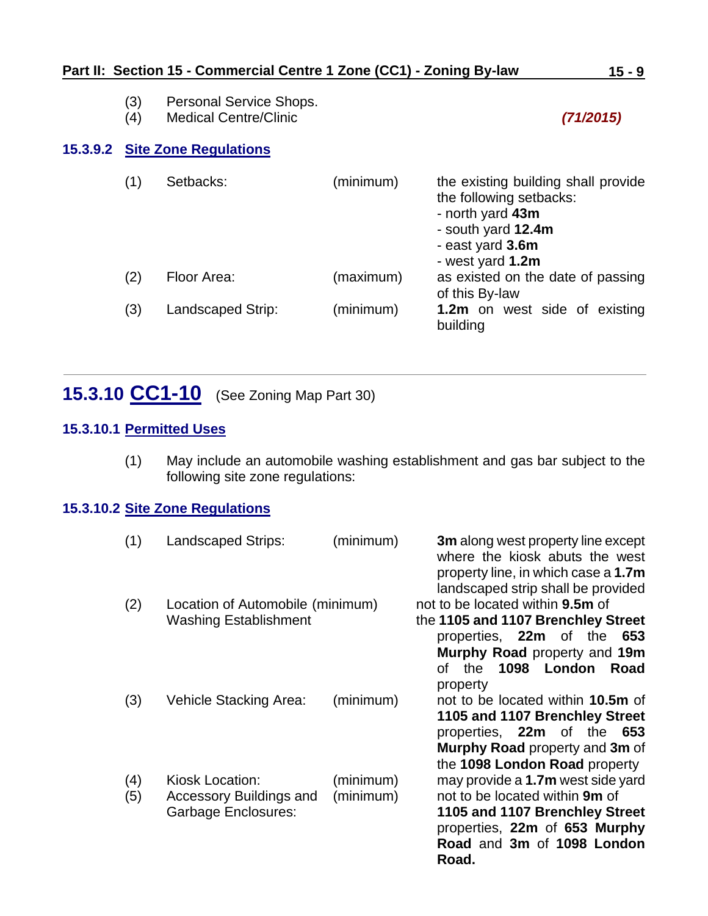- (3) Personal Service Shops.
- (4) Medical Centre/Clinic *(71/2015)*

### **15.3.9.2 Site Zone Regulations**

| (1) | Setbacks:         | (minimum) | the existing building shall provide<br>the following setbacks:<br>- north yard 43m<br>- south yard 12.4m<br>- east yard 3.6m<br>- west yard 1.2m |
|-----|-------------------|-----------|--------------------------------------------------------------------------------------------------------------------------------------------------|
| (2) | Floor Area:       | (maximum) | as existed on the date of passing<br>of this By-law                                                                                              |
| (3) | Landscaped Strip: | (minimum) | 1.2m on west side of existing<br>building                                                                                                        |

## <span id="page-8-0"></span>**15.3.10 CC1-10** (See Zoning Map Part 30)

### **15.3.10.1 Permitted Uses**

(1) May include an automobile washing establishment and gas bar subject to the following site zone regulations:

#### **15.3.10.2 Site Zone Regulations**

| (1)        | Landscaped Strips:                                                       | (minimum)              | <b>3m</b> along west property line except<br>where the kiosk abuts the west<br>property line, in which case a 1.7m<br>landscaped strip shall be provided                                          |
|------------|--------------------------------------------------------------------------|------------------------|---------------------------------------------------------------------------------------------------------------------------------------------------------------------------------------------------|
| (2)        | Location of Automobile (minimum)<br><b>Washing Establishment</b>         |                        | not to be located within <b>9.5m</b> of<br>the 1105 and 1107 Brenchley Street<br>properties, 22m of the<br>653<br>Murphy Road property and 19m<br>1098<br>the<br>London<br>of<br>Road<br>property |
| (3)        | Vehicle Stacking Area:                                                   | (minimum)              | not to be located within 10.5m of<br>1105 and 1107 Brenchley Street<br>properties, 22m of<br>the<br>653<br>Murphy Road property and 3m of<br>the 1098 London Road property                        |
| (4)<br>(5) | Kiosk Location:<br><b>Accessory Buildings and</b><br>Garbage Enclosures: | (minimum)<br>(minimum) | may provide a 1.7m west side yard<br>not to be located within 9m of<br>1105 and 1107 Brenchley Street<br>properties, 22m of 653 Murphy<br>Road and 3m of 1098 London<br>Road.                     |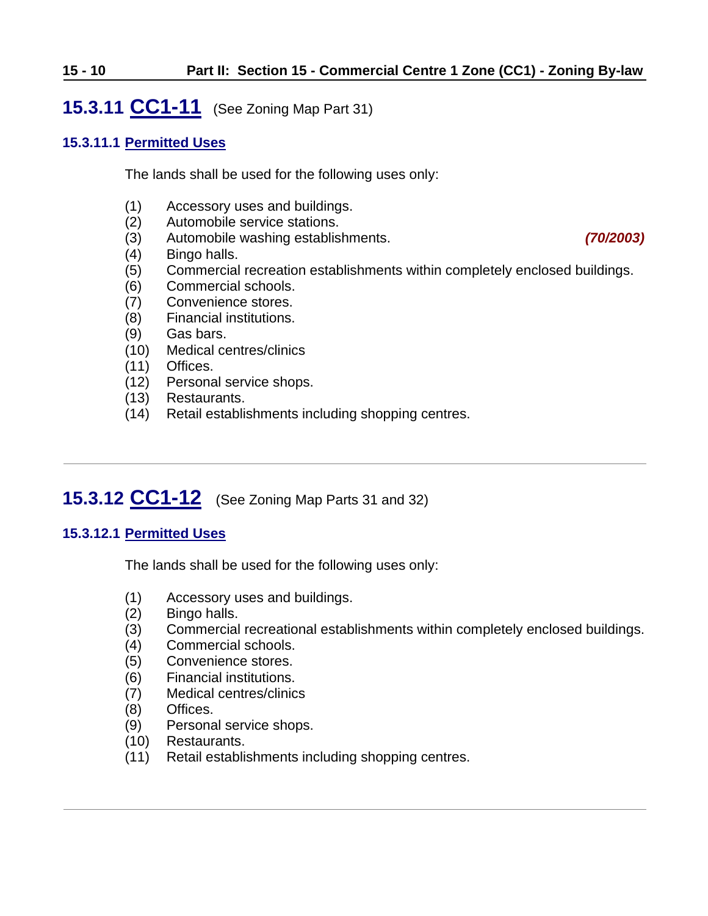#### **15 - 10 Part II: Section 15 - Commercial Centre 1 Zone (CC1) - Zoning By-law**

### <span id="page-9-0"></span>**15.3.11 CC1-11** (See Zoning Map Part 31)

#### **15.3.11.1 Permitted Uses**

The lands shall be used for the following uses only:

- (1) Accessory uses and buildings.
- (2) Automobile service stations.
- (3) Automobile washing establishments. *(70/2003)*
- (4) Bingo halls.
- (5) Commercial recreation establishments within completely enclosed buildings.
- (6) Commercial schools.
- (7) Convenience stores.
- (8) Financial institutions.
- (9) Gas bars.
- (10) Medical centres/clinics
- (11) Offices.
- (12) Personal service shops.
- (13) Restaurants.
- (14) Retail establishments including shopping centres.

# <span id="page-9-1"></span>**15.3.12 CC1-12** (See Zoning Map Parts 31 and 32)

#### **15.3.12.1 Permitted Uses**

The lands shall be used for the following uses only:

- (1) Accessory uses and buildings.
- (2) Bingo halls.
- (3) Commercial recreational establishments within completely enclosed buildings.
- (4) Commercial schools.
- (5) Convenience stores.
- (6) Financial institutions.
- (7) Medical centres/clinics
- (8) Offices.
- (9) Personal service shops.
- (10) Restaurants.
- (11) Retail establishments including shopping centres.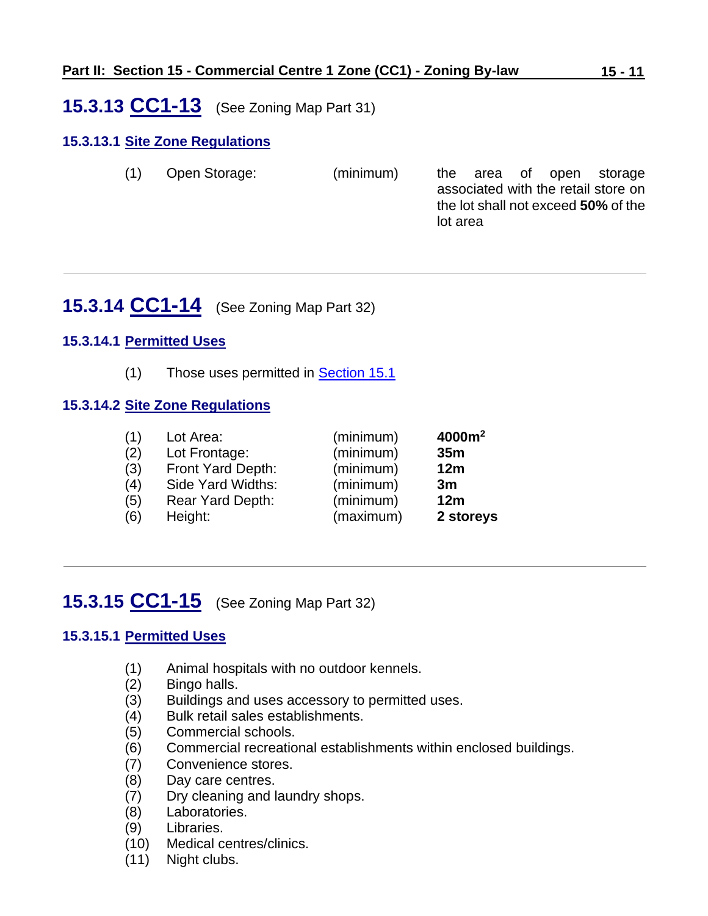### <span id="page-10-0"></span>**15.3.13 CC1-13** (See Zoning Map Part 31)

### **15.3.13.1 Site Zone Regulations**

(1) Open Storage: (minimum) the area of open storage associated with the retail store on the lot shall not exceed **50%** of the lot area

## <span id="page-10-1"></span>**15.3.14 CC1-14** (See Zoning Map Part 32)

#### **15.3.14.1 Permitted Uses**

(1) Those uses permitted in **Section 15.1** 

#### **15.3.14.2 Site Zone Regulations**

| (1) | Lot Area:               | (minimum) | 4000m <sup>2</sup> |
|-----|-------------------------|-----------|--------------------|
| (2) | Lot Frontage:           | (minimum) | 35 <sub>m</sub>    |
| (3) | Front Yard Depth:       | (minimum) | 12m                |
| (4) | Side Yard Widths:       | (minimum) | 3m                 |
| (5) | <b>Rear Yard Depth:</b> | (minimum) | 12 <sub>m</sub>    |
| (6) | Height:                 | (maximum) | 2 storeys          |

# <span id="page-10-2"></span>**15.3.15 CC1-15** (See Zoning Map Part 32)

#### **15.3.15.1 Permitted Uses**

- (1) Animal hospitals with no outdoor kennels.
- (2) Bingo halls.
- (3) Buildings and uses accessory to permitted uses.
- (4) Bulk retail sales establishments.
- (5) Commercial schools.
- (6) Commercial recreational establishments within enclosed buildings.
- (7) Convenience stores.
- (8) Day care centres.
- (7) Dry cleaning and laundry shops.
- (8) Laboratories.
- (9) Libraries.
- (10) Medical centres/clinics.
- (11) Night clubs.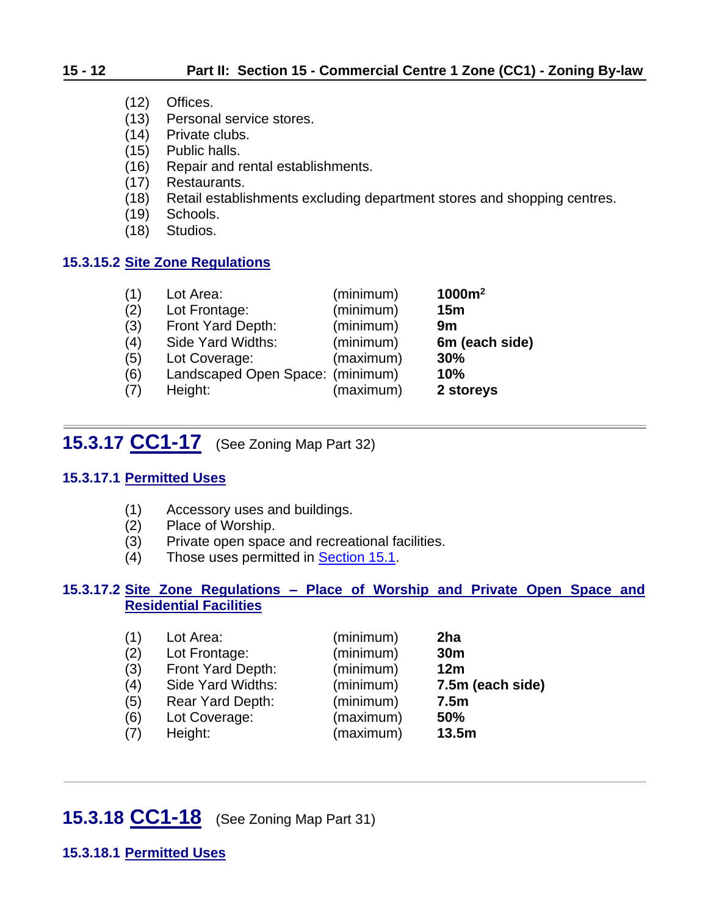### **15 - 12 Part II: Section 15 - Commercial Centre 1 Zone (CC1) - Zoning By-law**

- (12) Offices.
- (13) Personal service stores.
- (14) Private clubs.
- (15) Public halls.
- (16) Repair and rental establishments.
- (17) Restaurants.
- (18) Retail establishments excluding department stores and shopping centres.
- (19) Schools.
- (18) Studios.

#### **15.3.15.2 Site Zone Regulations**

| (1) | Lot Area:                        | (minimum) | 1000m <sup>2</sup> |
|-----|----------------------------------|-----------|--------------------|
| (2) | Lot Frontage:                    | (minimum) | 15 <sub>m</sub>    |
| (3) | Front Yard Depth:                | (minimum) | 9m                 |
| (4) | Side Yard Widths:                | (minimum) | 6m (each side)     |
| (5) | Lot Coverage:                    | (maximum) | 30%                |
| (6) | Landscaped Open Space: (minimum) |           | 10%                |
| (7) | Height:                          | (maximum) | 2 storeys          |

### <span id="page-11-0"></span>**15.3.17 CC1-17** (See Zoning Map Part 32)

#### **15.3.17.1 Permitted Uses**

- (1) Accessory uses and buildings.
- (2) Place of Worship.
- (3) Private open space and recreational facilities.
- (4) Those uses permitted in [Section 15.1.](#page-0-0)

#### **15.3.17.2 Site Zone Regulations – Place of Worship and Private Open Space and Residential Facilities**

| (1) | Lot Area:         | (minimum) | 2ha              |
|-----|-------------------|-----------|------------------|
| (2) | Lot Frontage:     | (minimum) | 30 <sub>m</sub>  |
| (3) | Front Yard Depth: | (minimum) | 12m              |
| (4) | Side Yard Widths: | (minimum) | 7.5m (each side) |
| (5) | Rear Yard Depth:  | (minimum) | 7.5 <sub>m</sub> |
| (6) | Lot Coverage:     | (maximum) | 50%              |
| (7) | Height:           | (maximum) | 13.5m            |

### <span id="page-11-1"></span>**15.3.18 CC1-18** (See Zoning Map Part 31)

**15.3.18.1 Permitted Uses**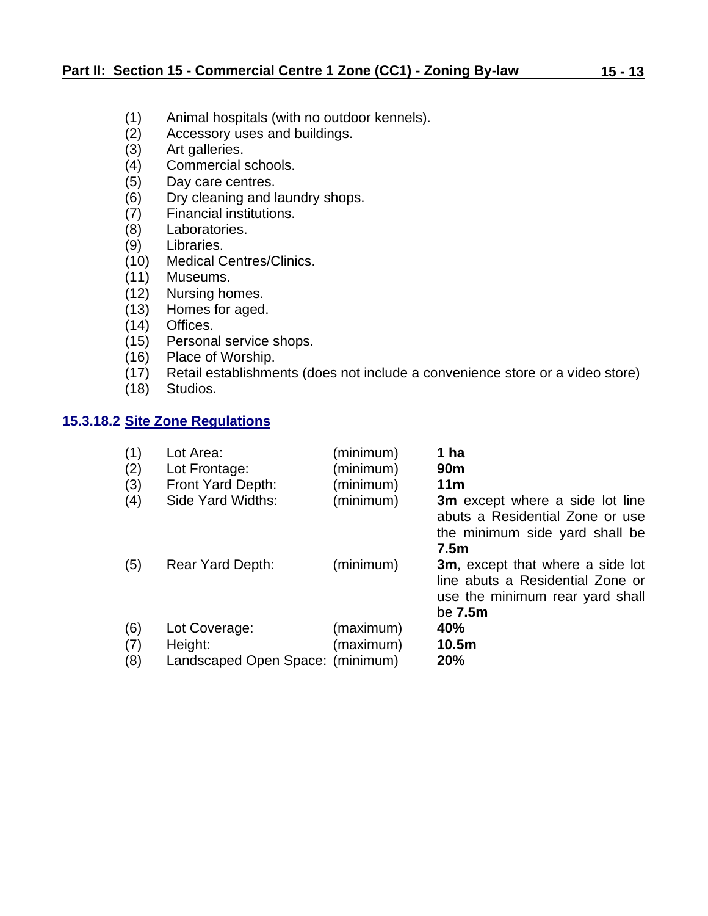- (1) Animal hospitals (with no outdoor kennels).
- (2) Accessory uses and buildings.
- (3) Art galleries.
- (4) Commercial schools.
- (5) Day care centres.
- (6) Dry cleaning and laundry shops.
- (7) Financial institutions.
- (8) Laboratories.
- (9) Libraries.
- (10) Medical Centres/Clinics.
- (11) Museums.
- (12) Nursing homes.
- (13) Homes for aged.
- (14) Offices.
- (15) Personal service shops.
- (16) Place of Worship.
- (17) Retail establishments (does not include a convenience store or a video store)
- (18) Studios.

#### **15.3.18.2 Site Zone Regulations**

| (1)<br>(2)<br>(3)<br>(4) | Lot Area:<br>Lot Frontage:<br>Front Yard Depth:<br>Side Yard Widths: | (minimum)<br>(minimum)<br>(minimum)<br>(minimum) | 1 ha<br>90 <sub>m</sub><br>11 <sub>m</sub><br><b>3m</b> except where a side lot line<br>abuts a Residential Zone or use<br>the minimum side yard shall be<br>7.5 <sub>m</sub> |
|--------------------------|----------------------------------------------------------------------|--------------------------------------------------|-------------------------------------------------------------------------------------------------------------------------------------------------------------------------------|
| (5)                      | Rear Yard Depth:                                                     | (minimum)                                        | <b>3m</b> , except that where a side lot<br>line abuts a Residential Zone or<br>use the minimum rear yard shall<br>be 7.5m                                                    |
| (6)<br>(7)<br>(8)        | Lot Coverage:<br>Height:<br>Landscaped Open Space: (minimum)         | (maximum)<br>(maximum)                           | 40%<br>10.5m<br><b>20%</b>                                                                                                                                                    |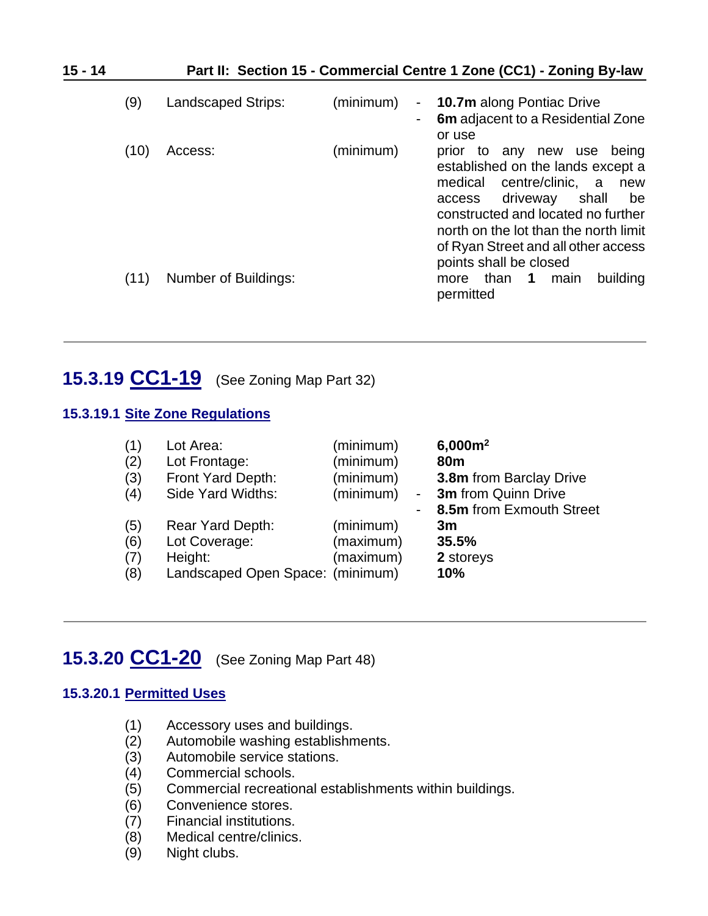| $15 - 14$ |      |                           |           | Part II: Section 15 - Commercial Centre 1 Zone (CC1) - Zoning By-law                                                                                                                                                                                                                               |
|-----------|------|---------------------------|-----------|----------------------------------------------------------------------------------------------------------------------------------------------------------------------------------------------------------------------------------------------------------------------------------------------------|
|           | (9)  | <b>Landscaped Strips:</b> | (minimum) | <b>10.7m</b> along Pontiac Drive<br>$\sim$<br>6m adjacent to a Residential Zone<br>or use                                                                                                                                                                                                          |
|           | (10) | Access:                   | (minimum) | being<br>prior to any new use<br>established on the lands except a<br>centre/clinic,<br>medical<br>a a<br>new<br>driveway<br>shall<br>access<br>be<br>constructed and located no further<br>north on the lot than the north limit<br>of Ryan Street and all other access<br>points shall be closed |
|           | (11) | Number of Buildings:      |           | building<br>than<br>$\overline{1}$<br>main<br>more<br>permitted                                                                                                                                                                                                                                    |

## <span id="page-13-0"></span>**15.3.19 CC1-19** (See Zoning Map Part 32)

#### **15.3.19.1 Site Zone Regulations**

| (1)                      | Lot Area:                                                                        | (minimum)                           | $\blacksquare$ | $6,000m^2$                                                  |
|--------------------------|----------------------------------------------------------------------------------|-------------------------------------|----------------|-------------------------------------------------------------|
| (2)                      | Lot Frontage:                                                                    | (minimum)                           |                | 80 <sub>m</sub>                                             |
| (3)                      | Front Yard Depth:                                                                | (minimum)                           |                | <b>3.8m</b> from Barclay Drive                              |
| (4)                      | Side Yard Widths:                                                                | (minimum)                           |                | <b>3m</b> from Quinn Drive                                  |
| (5)<br>(6)<br>(7)<br>(8) | Rear Yard Depth:<br>Lot Coverage:<br>Height:<br>Landscaped Open Space: (minimum) | (minimum)<br>(maximum)<br>(maximum) |                | 8.5m from Exmouth Street<br>3m<br>35.5%<br>2 storeys<br>10% |

# <span id="page-13-1"></span>**15.3.20 CC1-20** (See Zoning Map Part 48)

#### **15.3.20.1 Permitted Uses**

- (1) Accessory uses and buildings.<br>(2) Automobile washing establishn
- Automobile washing establishments.
- (3) Automobile service stations.
- (4) Commercial schools.
- (5) Commercial recreational establishments within buildings.
- (6) Convenience stores.
- (7) Financial institutions.
- (8) Medical centre/clinics.
- (9) Night clubs.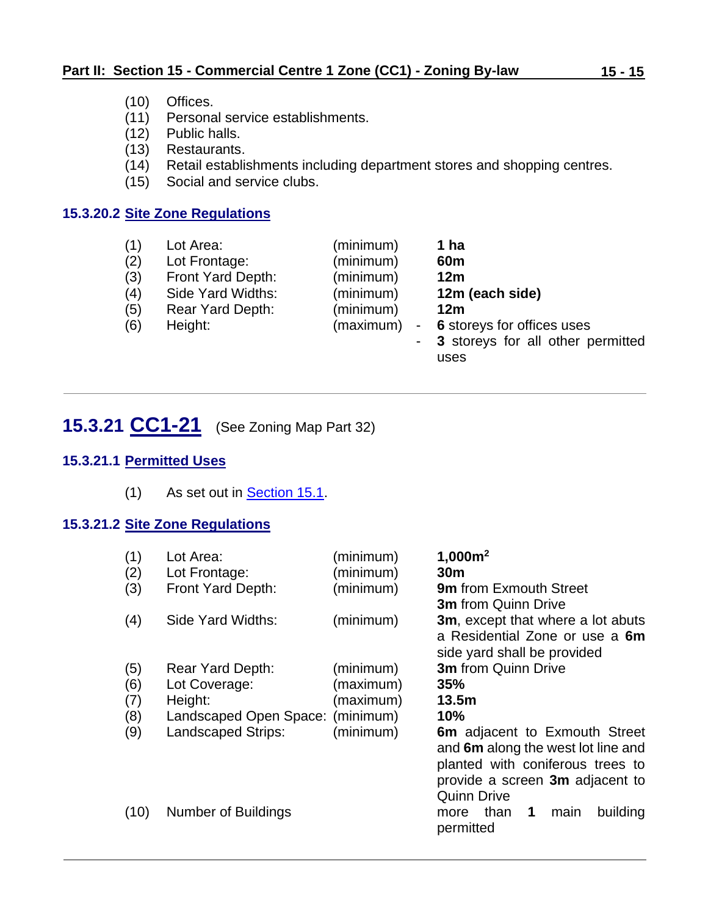- (10) Offices.
- (11) Personal service establishments.
- (12) Public halls.
- (13) Restaurants.
- (14) Retail establishments including department stores and shopping centres.
- (15) Social and service clubs.

#### **15.3.20.2 Site Zone Regulations**

| (1) | Lot Area:         | (minimum)                             | 1 ha                                |
|-----|-------------------|---------------------------------------|-------------------------------------|
| (2) | Lot Frontage:     | (minimum)                             | 60 <sub>m</sub>                     |
| (3) | Front Yard Depth: | (minimum)                             | 12 <sub>m</sub>                     |
| (4) | Side Yard Widths: | (minimum)                             | 12m (each side)                     |
| (5) | Rear Yard Depth:  | (minimum)                             | 12 <sub>m</sub>                     |
| (6) | Height:           | (maximum)<br>$\overline{\phantom{a}}$ | 6 storeys for offices uses          |
|     |                   |                                       | - 3 storeys for all other permitted |
|     |                   |                                       | uses                                |

# <span id="page-14-0"></span>**15.3.21 CC1-21** (See Zoning Map Part 32)

### **15.3.21.1 Permitted Uses**

(1) As set out in **Section 15.1**.

### **15.3.21.2 Site Zone Regulations**

| (1)<br>(2)<br>(3) | Lot Area:<br>Lot Frontage:<br>Front Yard Depth: | (minimum)<br>(minimum)<br>(minimum) | 1,000m <sup>2</sup><br>30 <sub>m</sub><br><b>9m</b> from Exmouth Street<br><b>3m</b> from Quinn Drive                                                                   |
|-------------------|-------------------------------------------------|-------------------------------------|-------------------------------------------------------------------------------------------------------------------------------------------------------------------------|
| (4)               | Side Yard Widths:                               | (minimum)                           | 3m, except that where a lot abuts<br>a Residential Zone or use a 6m<br>side yard shall be provided                                                                      |
| (5)               | Rear Yard Depth:                                | (minimum)                           | <b>3m</b> from Quinn Drive                                                                                                                                              |
| (6)               | Lot Coverage:                                   | (maximum)                           | 35%                                                                                                                                                                     |
| (7)               | Height:                                         | (maximum)                           | 13.5m                                                                                                                                                                   |
| (8)               | Landscaped Open Space:                          | (minimum)                           | 10%                                                                                                                                                                     |
| (9)               | <b>Landscaped Strips:</b>                       | (minimum)                           | <b>6m</b> adjacent to Exmouth Street<br>and 6m along the west lot line and<br>planted with coniferous trees to<br>provide a screen 3m adjacent to<br><b>Quinn Drive</b> |
| (10)              | Number of Buildings                             |                                     | building<br>1<br>than<br>main<br>more<br>permitted                                                                                                                      |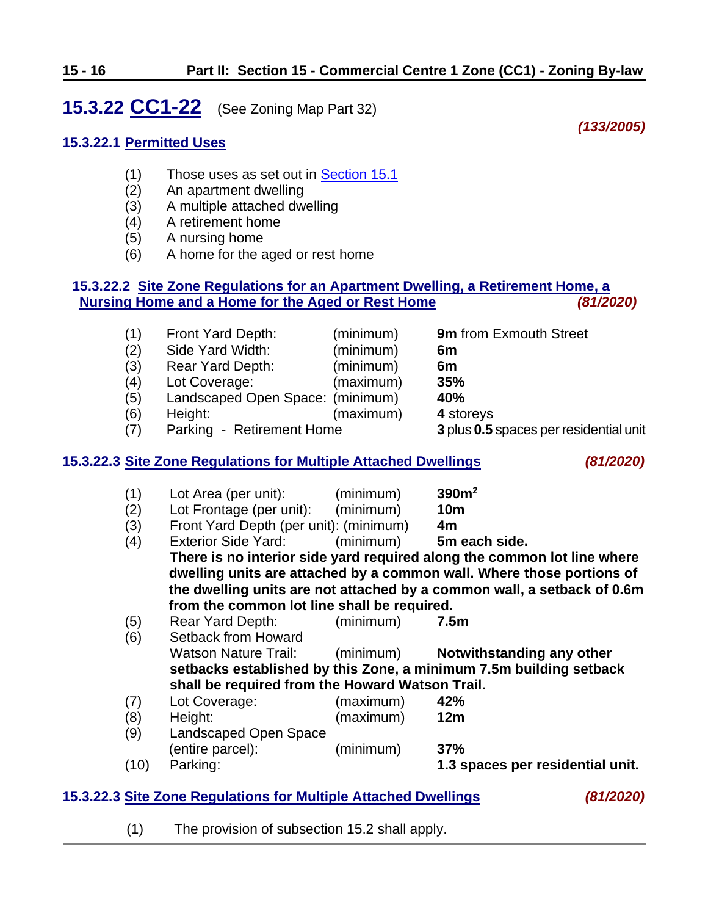# <span id="page-15-0"></span>**15.3.22 CC1-22** (See Zoning Map Part 32)

*(133/2005)*

### **15.3.22.1 Permitted Uses**

- (1) Those uses as set out in [Section 15.1](#page-0-0)
- (2) An apartment dwelling
- (3) A multiple attached dwelling
- (4) A retirement home
- (5) A nursing home
- (6) A home for the aged or rest home

#### **15.3.22.2 Site Zone Regulations for an Apartment Dwelling, a Retirement Home, a Nursing Home and a Home for the Aged or Rest Home** *(81/2020)*

| (1) | Front Yard Depth:                | (minimum) | 9m from Exmouth Street                 |
|-----|----------------------------------|-----------|----------------------------------------|
| (2) | Side Yard Width:                 | (minimum) | 6m                                     |
| (3) | Rear Yard Depth:                 | (minimum) | 6m                                     |
| (4) | Lot Coverage:                    | (maximum) | 35%                                    |
| (5) | Landscaped Open Space: (minimum) |           | 40%                                    |
| (6) | Height:                          | (maximum) | 4 storeys                              |
| (7) | Parking - Retirement Home        |           | 3 plus 0.5 spaces per residential unit |
|     |                                  |           |                                        |

#### **15.3.22.3 Site Zone Regulations for Multiple Attached Dwellings** *(81/2020)*

- (1) Lot Area (per unit): (minimum) **390m<sup>2</sup>** (2) Lot Frontage (per unit): (minimum) **10m**
- (3) Front Yard Depth (per unit): (minimum) **4m**
- (4) Exterior Side Yard: (minimum) **5m each side. There is no interior side yard required along the common lot line where dwelling units are attached by a common wall. Where those portions of the dwelling units are not attached by a common wall, a setback of 0.6m from the common lot line shall be required.**
- (5) Rear Yard Depth: (minimum) **7.5m**
- (6) Setback from Howard Watson Nature Trail: (minimum) **Notwithstanding any other setbacks established by this Zone, a minimum 7.5m building setback shall be required from the Howard Watson Trail.**
- (7) Lot Coverage: (maximum) **42%** (8) Height: (maximum) **12m**
- (9) Landscaped Open Space (entire parcel): (minimum) **37%**
- (10) Parking: **1.3 spaces per residential unit.**

### **15.3.22.3 Site Zone Regulations for Multiple Attached Dwellings** *(81/2020)*

(1) The provision of subsection 15.2 shall apply.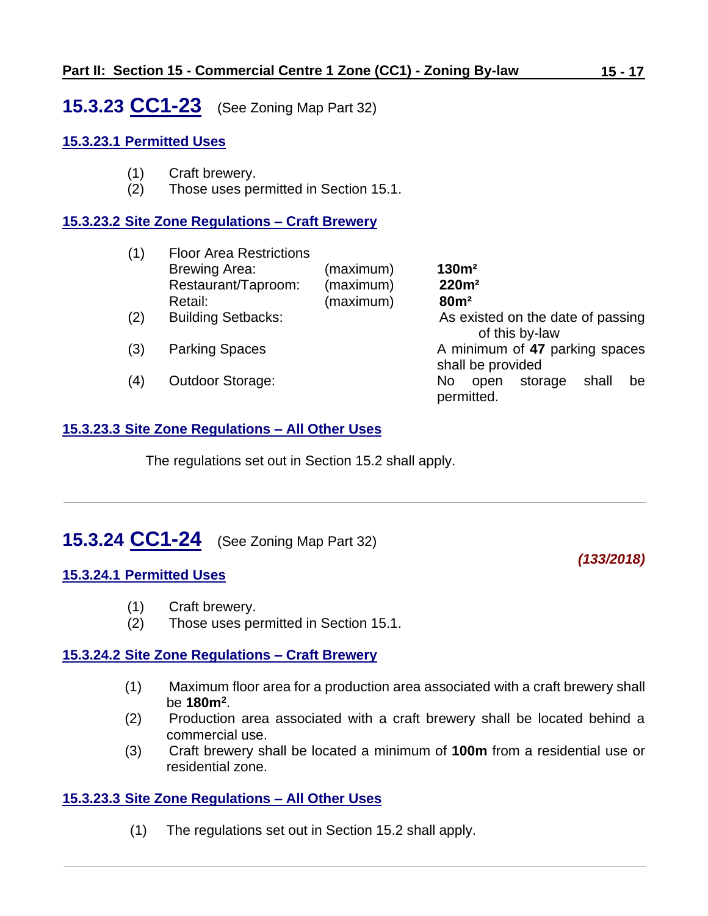<span id="page-16-0"></span>**15.3.23 CC1-23** (See Zoning Map Part 32)

#### **15.3.23.1 Permitted Uses**

- (1) Craft brewery.
- (2) Those uses permitted in Section 15.1.

#### **15.3.23.2 Site Zone Regulations – Craft Brewery**

| (1) | <b>Floor Area Restrictions</b> |           |                                                     |
|-----|--------------------------------|-----------|-----------------------------------------------------|
|     | <b>Brewing Area:</b>           | (maximum) | 130m <sup>2</sup>                                   |
|     | Restaurant/Taproom:            | (maximum) | 220m <sup>2</sup>                                   |
|     | Retail:                        | (maximum) | 80m <sup>2</sup>                                    |
| (2) | <b>Building Setbacks:</b>      |           | As existed on the date of passing                   |
|     |                                |           | of this by-law                                      |
| (3) | <b>Parking Spaces</b>          |           | A minimum of 47 parking spaces                      |
|     |                                |           | shall be provided                                   |
| (4) | <b>Outdoor Storage:</b>        |           | shall<br>No.<br>storage<br>open<br>be<br>permitted. |

#### **15.3.23.3 Site Zone Regulations – All Other Uses**

The regulations set out in Section 15.2 shall apply.

# <span id="page-16-1"></span>**15.3.24 CC1-24** (See Zoning Map Part 32)

#### **15.3.24.1 Permitted Uses**

- (1) Craft brewery.
- (2) Those uses permitted in Section 15.1.

#### **15.3.24.2 Site Zone Regulations – Craft Brewery**

- (1) Maximum floor area for a production area associated with a craft brewery shall be **180m<sup>2</sup>** .
- (2) Production area associated with a craft brewery shall be located behind a commercial use.
- (3) Craft brewery shall be located a minimum of **100m** from a residential use or residential zone.

#### **15.3.23.3 Site Zone Regulations – All Other Uses**

(1) The regulations set out in Section 15.2 shall apply.

#### *(133/2018)*